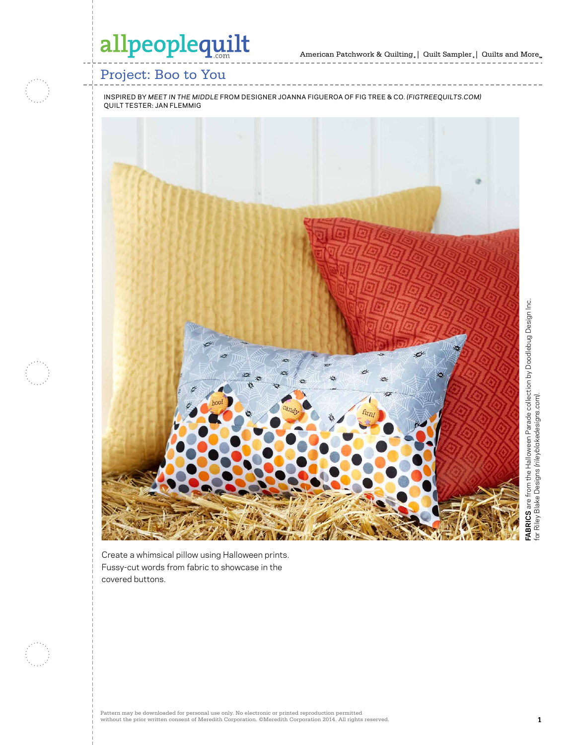American Patchwork & Quilting | Quilt Sampler | Quilts and More

## Project: Boo to You

INSPIRED BY *MEET IN THE MIDDLE* FROM DESIGNER JOANNA FIGUEROA OF FIG TREE & CO. *(FIGTREEQUILTS.COM)* QUILT TESTER: JAN FLEMMIG



Create a whimsical pillow using Halloween prints. Fussy-cut words from fabric to showcase in the covered buttons.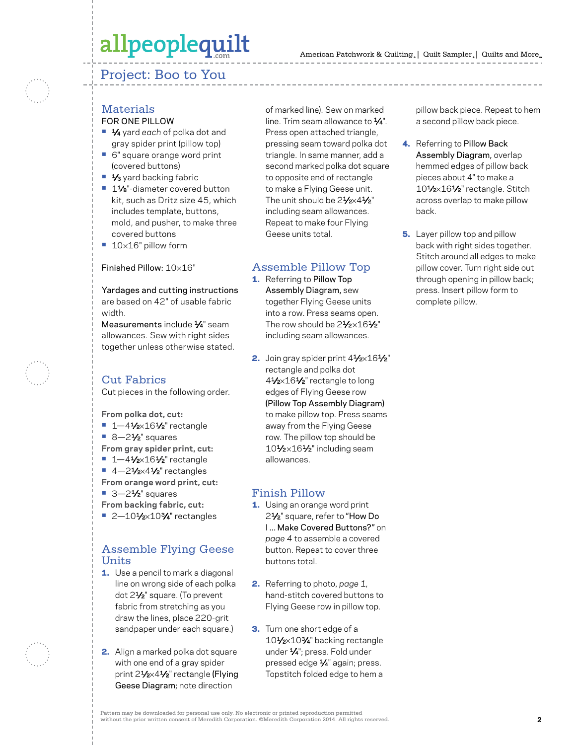### Project: Boo to You



#### **Materials** FOR ONE PILLOW

- **•** 1⁄4 yard *each* of polka dot and gray spider print (pillow top)
- **•** 6" square orange word print (covered buttons)
- 1⁄<sub>3</sub> yard backing fabric
- **•** 11⁄8"-diameter covered button kit, such as Dritz size 45, which includes template, buttons, mold, and pusher, to make three covered buttons
- **•** 10×16" pillow form

#### Finished Pillow: 10×16"

Yardages and cutting instructions are based on 42" of usable fabric width.

Measurements include 1⁄4" seam allowances. Sew with right sides together unless otherwise stated.

### Cut Fabrics

Cut pieces in the following order.

**From polka dot, cut:** 

- **•** 1-41/2×161/2" rectangle
- 8-2<sup>1</sup>⁄<sub>2</sub>" squares
- **From gray spider print, cut:**
- **•** 1-41/2×161/2" rectangle
- **•** 4-21/<sub>2</sub>×41/<sub>2</sub>" rectangles
- **From orange word print, cut:**
- 3-2<sup>1</sup>⁄<sub>2</sub>" squares
- **From backing fabric, cut:**
- 2-101⁄2×10<sup>3</sup>/4" rectangles

### Assemble Flying Geese Units

- **1.** Use a pencil to mark a diagonal line on wrong side of each polka dot 21⁄2" square. (To prevent fabric from stretching as you draw the lines, place 220-grit sandpaper under each square.)
- 2. Align a marked polka dot square with one end of a gray spider print 21/2×41/2" rectangle (Flying Geese Diagram; note direction

of marked line). Sew on marked line. Trim seam allowance to  $\frac{1}{4}$ ". Press open attached triangle, pressing seam toward polka dot triangle. In same manner, add a second marked polka dot square to opposite end of rectangle to make a Flying Geese unit. The unit should be 21/2×41/2" including seam allowances. Repeat to make four Flying Geese units total.

#### Assemble Pillow Top

- 1. Referring to Pillow Top Assembly Diagram, sew together Flying Geese units into a row. Press seams open. The row should be  $2\frac{1}{2} \times 16\frac{1}{2}$ " including seam allowances.
- 2. Join gray spider print  $4\frac{1}{2} \times 16\frac{1}{2}$ " rectangle and polka dot 41⁄2×161⁄2" rectangle to long edges of Flying Geese row (Pillow Top Assembly Diagram) to make pillow top. Press seams away from the Flying Geese row. The pillow top should be 101/2×161/2" including seam allowances.

#### Finish Pillow

- 1. Using an orange word print 21⁄2" square, refer to "How Do I ... Make Covered Buttons?" on *page 4* to assemble a covered button. Repeat to cover three buttons total.
- 2. Referring to photo, *page 1,* hand-stitch covered buttons to Flying Geese row in pillow top.
- 3. Turn one short edge of a 10<sup>1</sup>/<sub>2</sub>×10<sup>3</sup>/<sub>4</sub>" backing rectangle under 1⁄4"; press. Fold under pressed edge 1⁄4" again; press. Topstitch folded edge to hem a

pillow back piece. Repeat to hem a second pillow back piece.

- 4. Referring to Pillow Back Assembly Diagram, overlap hemmed edges of pillow back pieces about 4" to make a 10<sup>1</sup>/2×16<sup>1</sup>/<sub>2</sub>" rectangle. Stitch across overlap to make pillow back.
- **5.** Layer pillow top and pillow back with right sides together. Stitch around all edges to make pillow cover. Turn right side out through opening in pillow back; press. Insert pillow form to complete pillow.

Pattern may be downloaded for personal use only. No electronic or printed reproduction permitted without the prior written consent of Meredith Corporation. ©Meredith Corporation 2014. All rights reserved. **2**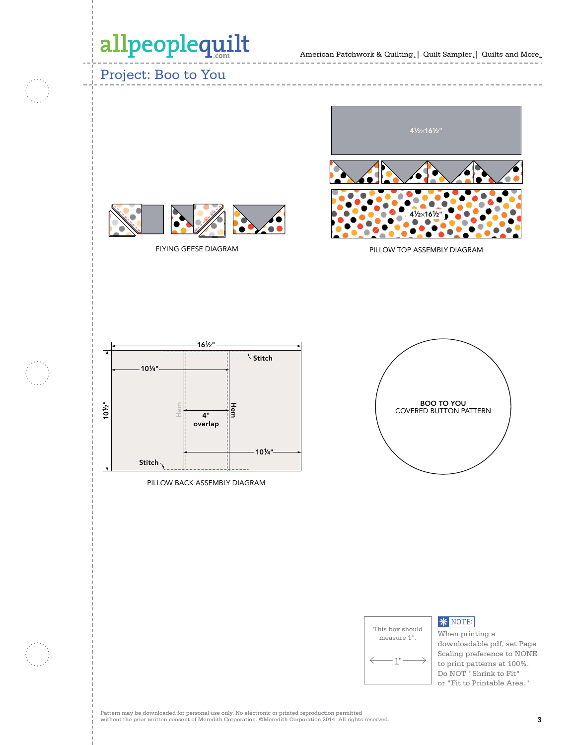### Project: Boo to You



FLYING GEESE DIAGRAM

PILLOW TOP ASSEMBLY DIAGRAM PILLOW TOP A







#### **\* NOTE:**

When printing a downloadable pdf, set Page Scaling preference to NONE to print patterns at 100%. Do NOT "Shrink to Fit" or "Fit to Printable Area."